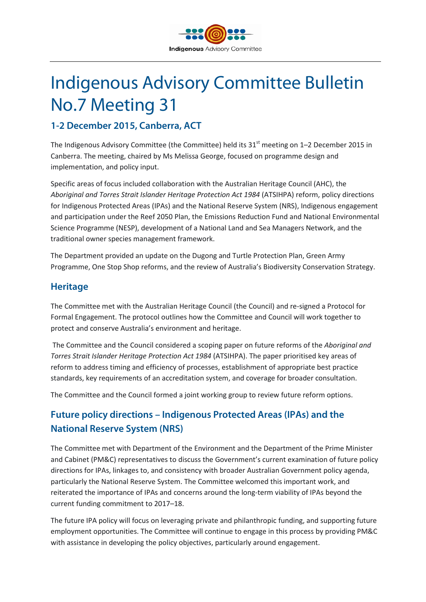

# Indigenous Advisory Committee Bulletin No.7 Meeting 31

## **1-2 December 2015, Canberra, ACT**

The Indigenous Advisory Committee (the Committee) held its 31<sup>st</sup> meeting on 1-2 December 2015 in Canberra. The meeting, chaired by Ms Melissa George, focused on programme design and implementation, and policy input.

Specific areas of focus included collaboration with the Australian Heritage Council (AHC), the *Aboriginal and Torres Strait Islander Heritage Protection Act 1984* (ATSIHPA) reform, policy directions for Indigenous Protected Areas (IPAs) and the National Reserve System (NRS), Indigenous engagement and participation under the Reef 2050 Plan, the Emissions Reduction Fund and National Environmental Science Programme (NESP), development of a National Land and Sea Managers Network, and the traditional owner species management framework.

The Department provided an update on the Dugong and Turtle Protection Plan, Green Army Programme, One Stop Shop reforms, and the review of Australia's Biodiversity Conservation Strategy.

#### **Heritage**

The Committee met with the Australian Heritage Council (the Council) and re-signed a Protocol for Formal Engagement. The protocol outlines how the Committee and Council will work together to protect and conserve Australia's environment and heritage.

The Committee and the Council considered a scoping paper on future reforms of the *Aboriginal and Torres Strait Islander Heritage Protection Act 1984* (ATSIHPA). The paper prioritised key areas of reform to address timing and efficiency of processes, establishment of appropriate best practice standards, key requirements of an accreditation system, and coverage for broader consultation.

The Committee and the Council formed a joint working group to review future reform options.

## **Future policy directions – Indigenous Protected Areas (IPAs) and the National Reserve System (NRS)**

The Committee met with Department of the Environment and the Department of the Prime Minister and Cabinet (PM&C) representatives to discuss the Government's current examination of future policy directions for IPAs, linkages to, and consistency with broader Australian Government policy agenda, particularly the National Reserve System. The Committee welcomed this important work, and reiterated the importance of IPAs and concerns around the long-term viability of IPAs beyond the current funding commitment to 2017–18.

The future IPA policy will focus on leveraging private and philanthropic funding, and supporting future employment opportunities. The Committee will continue to engage in this process by providing PM&C with assistance in developing the policy objectives, particularly around engagement.